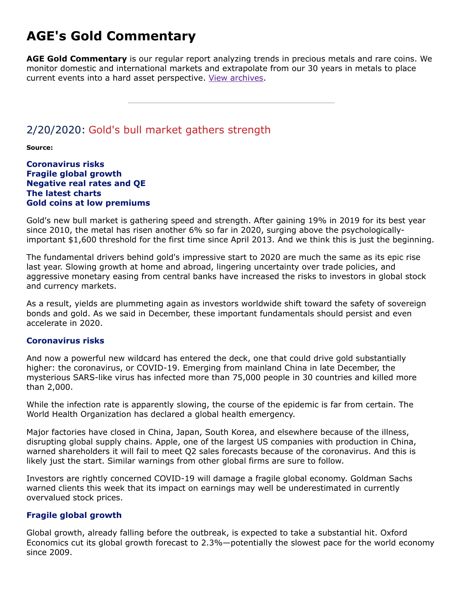# **AGE's Gold Commentary**

**AGE Gold Commentary** is our regular report analyzing trends in precious metals and rare coins. We monitor domestic and international markets and extrapolate from our 30 years in metals to place current events into a hard asset perspective. [View archives.](https://www.amergold.com/gold-news-info/gold-commentary-archives.php)

### 2/20/2020: Gold's bull market gathers strength

**Source:**

**Coronavirus risks Fragile global growth Negative real rates and QE The latest charts Gold coins at low premiums**

Gold's new bull market is gathering speed and strength. After gaining 19% in 2019 for its best year since 2010, the metal has risen another 6% so far in 2020, surging above the psychologicallyimportant \$1,600 threshold for the first time since April 2013. And we think this is just the beginning.

The fundamental drivers behind gold's impressive start to 2020 are much the same as its epic rise last year. Slowing growth at home and abroad, lingering uncertainty over trade policies, and aggressive monetary easing from central banks have increased the risks to investors in global stock and currency markets.

As a result, yields are plummeting again as investors worldwide shift toward the safety of sovereign bonds and gold. As we said in December, these important fundamentals should persist and even accelerate in 2020.

#### **Coronavirus risks**

And now a powerful new wildcard has entered the deck, one that could drive gold substantially higher: the coronavirus, or COVID-19. Emerging from mainland China in late December, the mysterious SARS-like virus has infected more than 75,000 people in 30 countries and killed more than 2,000.

While the infection rate is apparently slowing, the course of the epidemic is far from certain. The World Health Organization has declared a global health emergency.

Major factories have closed in China, Japan, South Korea, and elsewhere because of the illness, disrupting global supply chains. Apple, one of the largest US companies with production in China, warned shareholders it will fail to meet Q2 sales forecasts because of the coronavirus. And this is likely just the start. Similar warnings from other global firms are sure to follow.

Investors are rightly concerned COVID-19 will damage a fragile global economy. Goldman Sachs warned clients this week that its impact on earnings may well be underestimated in currently overvalued stock prices.

### **Fragile global growth**

Global growth, already falling before the outbreak, is expected to take a substantial hit. Oxford Economics cut its global growth forecast to 2.3%—potentially the slowest pace for the world economy since 2009.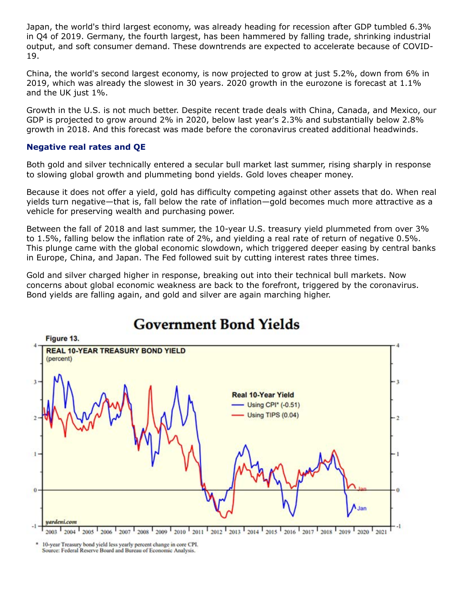Japan, the world's third largest economy, was already heading for recession after GDP tumbled 6.3% in Q4 of 2019. Germany, the fourth largest, has been hammered by falling trade, shrinking industrial output, and soft consumer demand. These downtrends are expected to accelerate because of COVID-19.

China, the world's second largest economy, is now projected to grow at just 5.2%, down from 6% in 2019, which was already the slowest in 30 years. 2020 growth in the eurozone is forecast at 1.1% and the UK just 1%.

Growth in the U.S. is not much better. Despite recent trade deals with China, Canada, and Mexico, our GDP is projected to grow around 2% in 2020, below last year's 2.3% and substantially below 2.8% growth in 2018. And this forecast was made before the coronavirus created additional headwinds.

#### **Negative real rates and QE**

Both gold and silver technically entered a secular bull market last summer, rising sharply in response to slowing global growth and plummeting bond yields. Gold loves cheaper money.

Because it does not offer a yield, gold has difficulty competing against other assets that do. When real yields turn negative—that is, fall below the rate of inflation—gold becomes much more attractive as a vehicle for preserving wealth and purchasing power.

Between the fall of 2018 and last summer, the 10-year U.S. treasury yield plummeted from over 3% to 1.5%, falling below the inflation rate of 2%, and yielding a real rate of return of negative 0.5%. This plunge came with the global economic slowdown, which triggered deeper easing by central banks in Europe, China, and Japan. The Fed followed suit by cutting interest rates three times.

Gold and silver charged higher in response, breaking out into their technical bull markets. Now concerns about global economic weakness are back to the forefront, triggered by the coronavirus. Bond yields are falling again, and gold and silver are again marching higher.



# **Government Bond Yields**

10-year Treasury bond yield less yearly percent change in core CPI. Source: Federal Reserve Board and Bureau of Economic Analysis.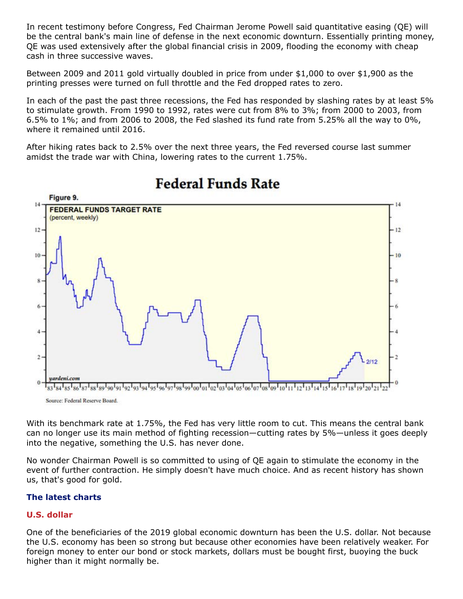In recent testimony before Congress, Fed Chairman Jerome Powell said quantitative easing (QE) will be the central bank's main line of defense in the next economic downturn. Essentially printing money, QE was used extensively after the global financial crisis in 2009, flooding the economy with cheap cash in three successive waves.

Between 2009 and 2011 gold virtually doubled in price from under \$1,000 to over \$1,900 as the printing presses were turned on full throttle and the Fed dropped rates to zero.

In each of the past the past three recessions, the Fed has responded by slashing rates by at least 5% to stimulate growth. From 1990 to 1992, rates were cut from 8% to 3%; from 2000 to 2003, from 6.5% to 1%; and from 2006 to 2008, the Fed slashed its fund rate from 5.25% all the way to 0%, where it remained until 2016.

After hiking rates back to 2.5% over the next three years, the Fed reversed course last summer amidst the trade war with China, lowering rates to the current 1.75%.



# **Federal Funds Rate**

Source: Federal Reserve Board.

With its benchmark rate at 1.75%, the Fed has very little room to cut. This means the central bank can no longer use its main method of fighting recession—cutting rates by 5%—unless it goes deeply into the negative, something the U.S. has never done.

No wonder Chairman Powell is so committed to using of QE again to stimulate the economy in the event of further contraction. He simply doesn't have much choice. And as recent history has shown us, that's good for gold.

### **The latest charts**

### **U.S. dollar**

One of the beneficiaries of the 2019 global economic downturn has been the U.S. dollar. Not because the U.S. economy has been so strong but because other economies have been relatively weaker. For foreign money to enter our bond or stock markets, dollars must be bought first, buoying the buck higher than it might normally be.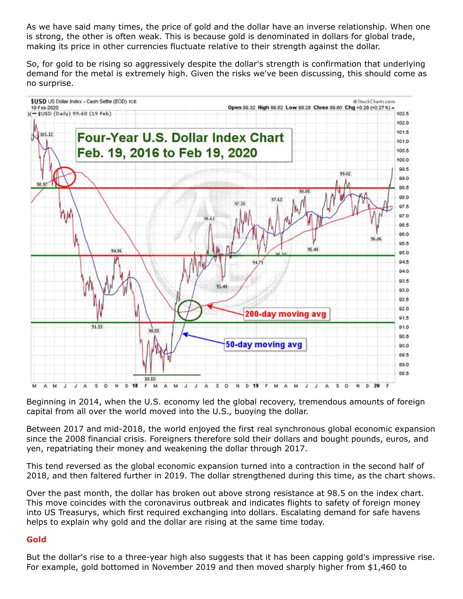As we have said many times, the price of gold and the dollar have an inverse relationship. When one is strong, the other is often weak. This is because gold is denominated in dollars for global trade, making its price in other currencies fluctuate relative to their strength against the dollar.

So, for gold to be rising so aggressively despite the dollar's strength is confirmation that underlying demand for the metal is extremely high. Given the risks we've been discussing, this should come as no surprise.



Beginning in 2014, when the U.S. economy led the global recovery, tremendous amounts of foreign capital from all over the world moved into the U.S., buoying the dollar.

Between 2017 and mid-2018, the world enjoyed the first real synchronous global economic expansion since the 2008 financial crisis. Foreigners therefore sold their dollars and bought pounds, euros, and yen, repatriating their money and weakening the dollar through 2017.

This tend reversed as the global economic expansion turned into a contraction in the second half of 2018, and then faltered further in 2019. The dollar strengthened during this time, as the chart shows.

Over the past month, the dollar has broken out above strong resistance at 98.5 on the index chart. This move coincides with the coronavirus outbreak and indicates flights to safety of foreign money into US Treasurys, which first required exchanging into dollars. Escalating demand for safe havens helps to explain why gold and the dollar are rising at the same time today.

### **Gold**

But the dollar's rise to a three-year high also suggests that it has been capping gold's impressive rise. For example, gold bottomed in November 2019 and then moved sharply higher from \$1,460 to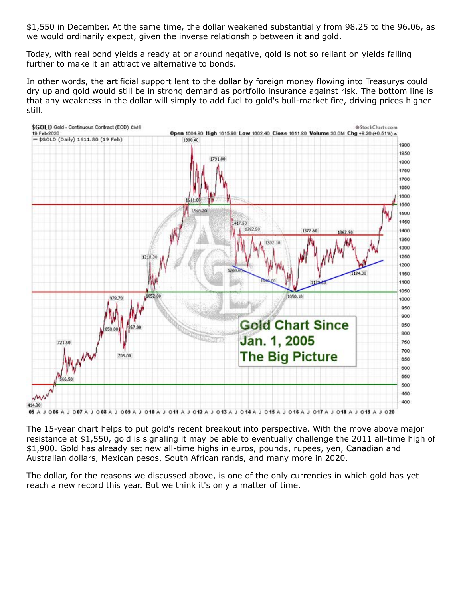\$1,550 in December. At the same time, the dollar weakened substantially from 98.25 to the 96.06, as we would ordinarily expect, given the inverse relationship between it and gold.

Today, with real bond yields already at or around negative, gold is not so reliant on yields falling further to make it an attractive alternative to bonds.

In other words, the artificial support lent to the dollar by foreign money flowing into Treasurys could dry up and gold would still be in strong demand as portfolio insurance against risk. The bottom line is that any weakness in the dollar will simply to add fuel to gold's bull-market fire, driving prices higher still.



The 15-year chart helps to put gold's recent breakout into perspective. With the move above major resistance at \$1,550, gold is signaling it may be able to eventually challenge the 2011 all-time high of \$1,900. Gold has already set new all-time highs in euros, pounds, rupees, yen, Canadian and Australian dollars, Mexican pesos, South African rands, and many more in 2020.

The dollar, for the reasons we discussed above, is one of the only currencies in which gold has yet reach a new record this year. But we think it's only a matter of time.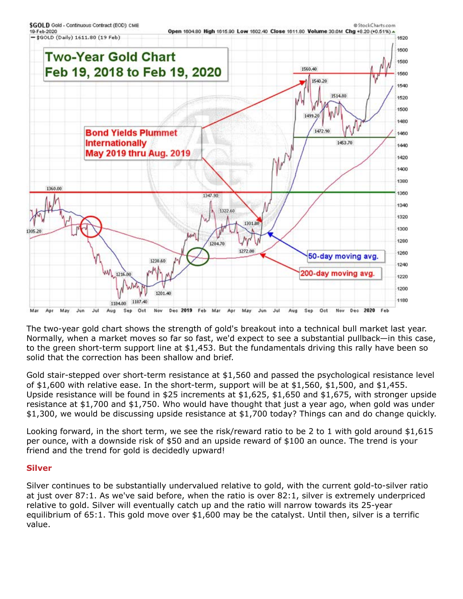

The two-year gold chart shows the strength of gold's breakout into a technical bull market last year. Normally, when a market moves so far so fast, we'd expect to see a substantial pullback—in this case, to the green short-term support line at \$1,453. But the fundamentals driving this rally have been so solid that the correction has been shallow and brief.

Gold stair-stepped over short-term resistance at \$1,560 and passed the psychological resistance level of \$1,600 with relative ease. In the short-term, support will be at \$1,560, \$1,500, and \$1,455. Upside resistance will be found in \$25 increments at \$1,625, \$1,650 and \$1,675, with stronger upside resistance at \$1,700 and \$1,750. Who would have thought that just a year ago, when gold was under \$1,300, we would be discussing upside resistance at \$1,700 today? Things can and do change quickly.

Looking forward, in the short term, we see the risk/reward ratio to be 2 to 1 with gold around \$1,615 per ounce, with a downside risk of \$50 and an upside reward of \$100 an ounce. The trend is your friend and the trend for gold is decidedly upward!

### **Silver**

Silver continues to be substantially undervalued relative to gold, with the current gold-to-silver ratio at just over 87:1. As we've said before, when the ratio is over 82:1, silver is extremely underpriced relative to gold. Silver will eventually catch up and the ratio will narrow towards its 25-year equilibrium of 65:1. This gold move over \$1,600 may be the catalyst. Until then, silver is a terrific value.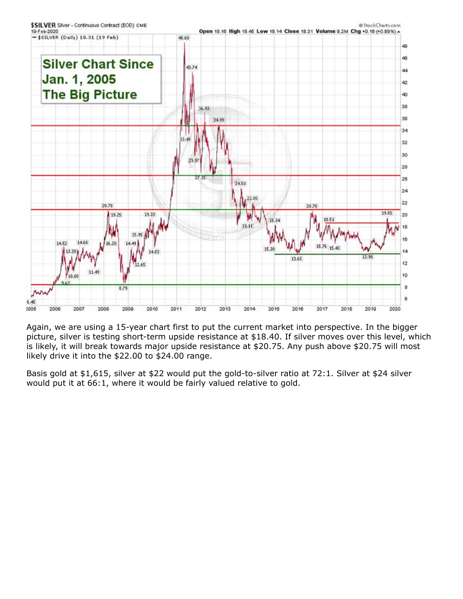

Again, we are using a 15-year chart first to put the current market into perspective. In the bigger picture, silver is testing short-term upside resistance at \$18.40. If silver moves over this level, which is likely, it will break towards major upside resistance at \$20.75. Any push above \$20.75 will most likely drive it into the \$22.00 to \$24.00 range.

Basis gold at \$1,615, silver at \$22 would put the gold-to-silver ratio at 72:1. Silver at \$24 silver would put it at 66:1, where it would be fairly valued relative to gold.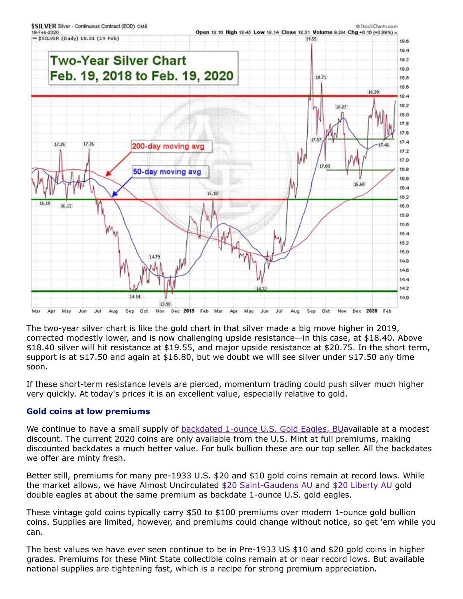

The two-year silver chart is like the gold chart in that silver made a big move higher in 2019, corrected modestly lower, and is now challenging upside resistance—in this case, at \$18.40. Above \$18.40 silver will hit resistance at \$19.55, and major upside resistance at \$20.75. In the short term, support is at \$17.50 and again at \$16.80, but we doubt we will see silver under \$17.50 any time soon.

If these short-term resistance levels are pierced, momentum trading could push silver much higher very quickly. At today's prices it is an excellent value, especially relative to gold.

### **Gold coins at low premiums**

We continue to have a small supply of [backdated 1-ounce U.S. Gold Eagles, BU](https://www.amergold.com/gold/gold-bullion/american-gold-eagle-bu.php?selected=backdate-oneoz)available at a modest discount. The current 2020 coins are only available from the U.S. Mint at full premiums, making discounted backdates a much better value. For bulk bullion these are our top seller. All the backdates we offer are minty fresh.

Better still, premiums for many pre-1933 U.S. \$20 and \$10 gold coins remain at record lows. While the market allows, we have Almost Uncirculated [\\$20 Saint-Gaudens AU](https://www.amergold.com/gold/pre-1933-u-s-gold-coins/20-saint-gaudens-gold-double-eagle.php?grade=AU) and [\\$20 Liberty AU](https://www.amergold.com/gold/pre-1933-u-s-gold-coins/20-liberty-gold-double-eagle.php?grade=AU) gold double eagles at about the same premium as backdate 1-ounce U.S. gold eagles.

These vintage gold coins typically carry \$50 to \$100 premiums over modern 1-ounce gold bullion coins. Supplies are limited, however, and premiums could change without notice, so get 'em while you can.

The best values we have ever seen continue to be in Pre-1933 US \$10 and \$20 gold coins in higher grades. Premiums for these Mint State collectible coins remain at or near record lows. But available national supplies are tightening fast, which is a recipe for strong premium appreciation.